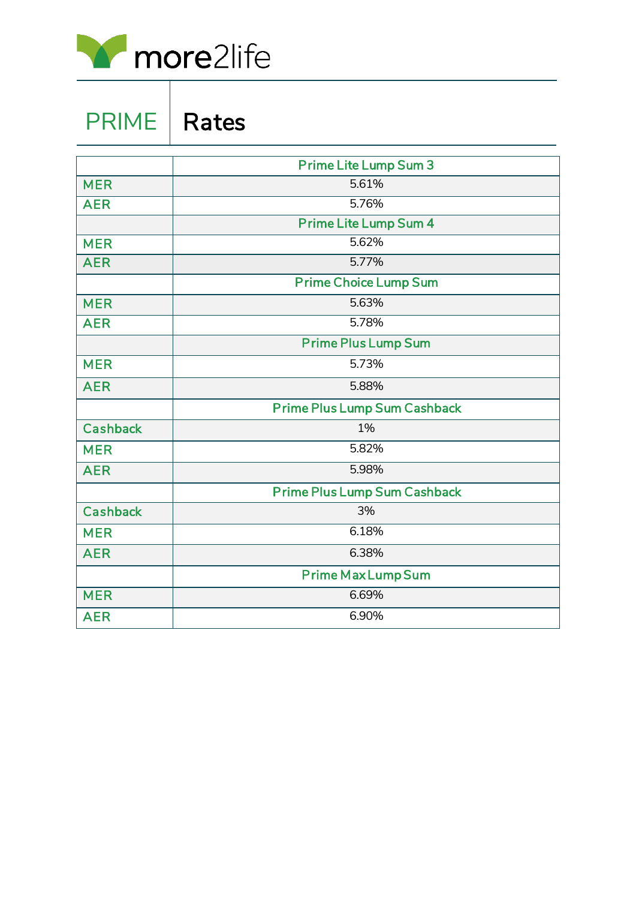

PRIME | Rates

|                 | <b>Prime Lite Lump Sum 3</b>        |  |  |  |
|-----------------|-------------------------------------|--|--|--|
| <b>MER</b>      | 5.61%                               |  |  |  |
| <b>AER</b>      | 5.76%                               |  |  |  |
|                 | <b>Prime Lite Lump Sum 4</b>        |  |  |  |
| <b>MER</b>      | 5.62%                               |  |  |  |
| <b>AER</b>      | 5.77%                               |  |  |  |
|                 | <b>Prime Choice Lump Sum</b>        |  |  |  |
| <b>MER</b>      | 5.63%                               |  |  |  |
| <b>AER</b>      | 5.78%                               |  |  |  |
|                 | <b>Prime Plus Lump Sum</b>          |  |  |  |
| <b>MER</b>      | 5.73%                               |  |  |  |
| <b>AER</b>      | 5.88%                               |  |  |  |
|                 | <b>Prime Plus Lump Sum Cashback</b> |  |  |  |
| <b>Cashback</b> | 1%                                  |  |  |  |
| <b>MER</b>      | 5.82%                               |  |  |  |
| <b>AER</b>      | 5.98%                               |  |  |  |
|                 | Prime Plus Lump Sum Cashback        |  |  |  |
| <b>Cashback</b> | 3%                                  |  |  |  |
| <b>MER</b>      | 6.18%                               |  |  |  |
| <b>AER</b>      | 6.38%                               |  |  |  |
|                 | <b>Prime Max Lump Sum</b>           |  |  |  |
| <b>MER</b>      | 6.69%                               |  |  |  |
| <b>AER</b>      | 6.90%                               |  |  |  |